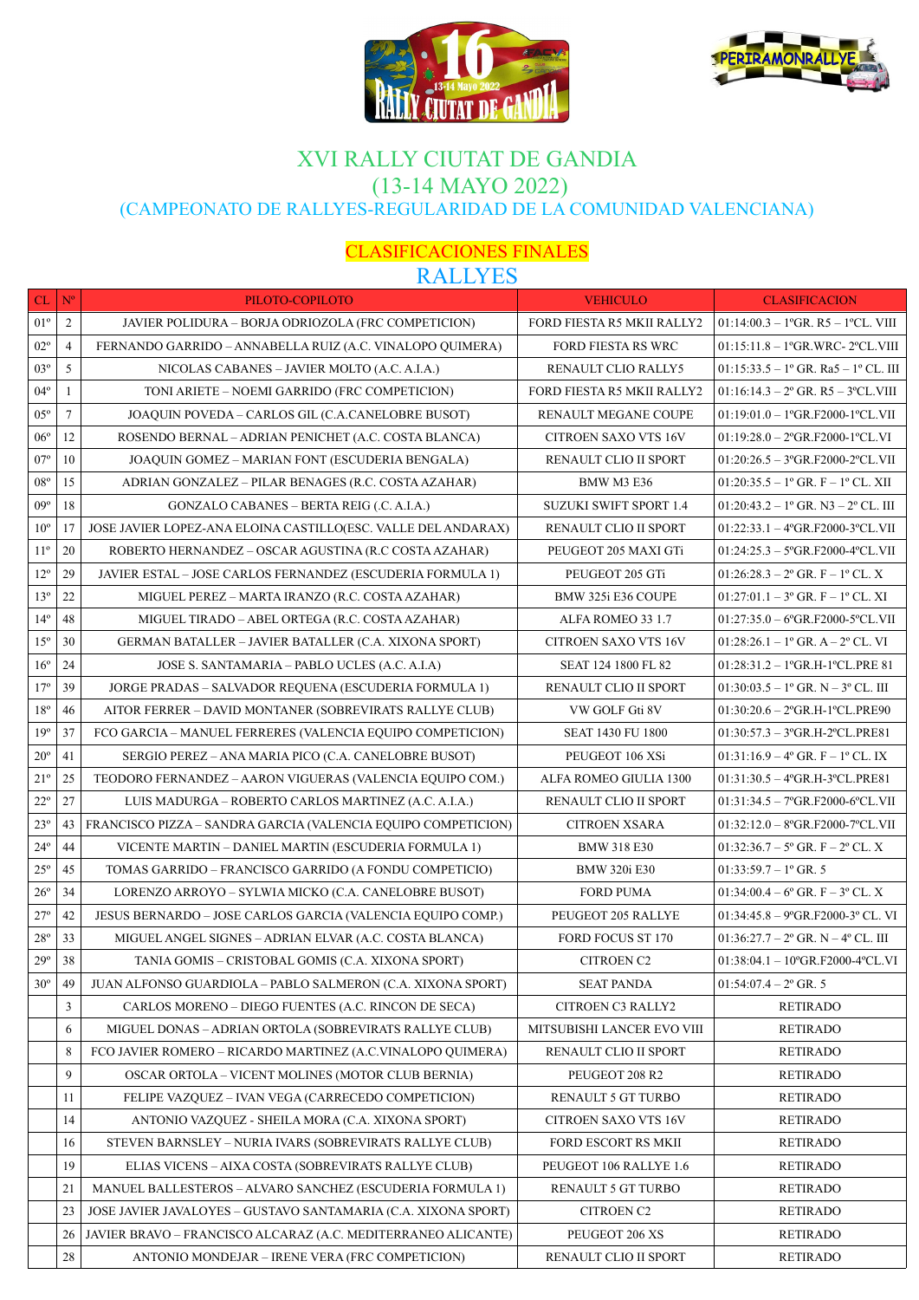



### XVI RALLY CIUTAT DE GANDIA (13-14 MAYO 2022) (CAMPEONATO DE RALLYES-REGULARIDAD DE LA COMUNIDAD VALENCIANA)

#### CLASIFICACIONES FINALES RALLYES

|              |                | <u>IVILLILL</u>                                                |                               |                                                                |
|--------------|----------------|----------------------------------------------------------------|-------------------------------|----------------------------------------------------------------|
| CL           | $N^{o}$        | PILOTO-COPILOTO                                                | <b>VEHICULO</b>               | <b>CLASIFICACION</b>                                           |
| $01^{\circ}$ | $\overline{c}$ | JAVIER POLIDURA - BORJA ODRIOZOLA (FRC COMPETICION)            | FORD FIESTA R5 MKII RALLY2    | $01:14:00.3 - 1$ <sup>o</sup> GR. R5 - 1 <sup>o</sup> CL. VIII |
| $02^{\circ}$ | 4              | FERNANDO GARRIDO – ANNABELLA RUIZ (A.C. VINALOPO QUIMERA)      | <b>FORD FIESTA RS WRC</b>     | $01:15:11.8-1$ °GR.WRC- 2 °CL.VIII                             |
| $03^{\circ}$ | 5              | NICOLAS CABANES - JAVIER MOLTO (A.C. A.I.A.)                   | <b>RENAULT CLIO RALLY5</b>    | $01:15:33.5 - 1^{\circ}$ GR. Ra $5 - 1^{\circ}$ CL. III        |
| $04^{\circ}$ | 1              | TONI ARIETE – NOEMI GARRIDO (FRC COMPETICION)                  | FORD FIESTA R5 MKII RALLY2    | $01:16:14.3 - 2^{\circ}$ GR. R5 $-$ 3 °CL. VIII                |
| $05^{\circ}$ | 7              | JOAQUIN POVEDA – CARLOS GIL (C.A.CANELOBRE BUSOT)              | RENAULT MEGANE COUPE          | $01:19:01.0-1$ °GR.F2000-1°CL.VII                              |
| $06^{\circ}$ | 12             | ROSENDO BERNAL – ADRIAN PENICHET (A.C. COSTA BLANCA)           | <b>CITROEN SAXO VTS 16V</b>   | $01:19:28.0 - 2$ °GR.F2000-1°CL.VI                             |
| $07^{\circ}$ | 10             | JOAQUIN GOMEZ – MARIAN FONT (ESCUDERIA BENGALA)                | RENAULT CLIO II SPORT         | $01:20:26.5 - 3^{\circ}$ GR.F2000-2°CL.VII                     |
| $08^{\circ}$ | 15             | ADRIAN GONZALEZ – PILAR BENAGES (R.C. COSTA AZAHAR)            | <b>BMW M3 E36</b>             | $01:20:35.5 - 1$ <sup>o</sup> GR. F - 1 <sup>o</sup> CL. XII   |
| 09°          | 18             | GONZALO CABANES – BERTA REIG (.C. A.I.A.)                      | <b>SUZUKI SWIFT SPORT 1.4</b> | $01:20:43.2-1°$ GR. N3 - $2°$ CL. III                          |
| $10^{\circ}$ | 17             | JOSE JAVIER LOPEZ-ANA ELOINA CASTILLO(ESC. VALLE DEL ANDARAX)  | RENAULT CLIO II SPORT         | $01:22:33.1 - 4^{\circ}$ GR.F2000-3°CL.VII                     |
| $11^{\circ}$ | 20             | ROBERTO HERNANDEZ – OSCAR AGUSTINA (R.C COSTA AZAHAR)          | PEUGEOT 205 MAXI GTi          | $01:24:25.3 - 5^{\circ}$ GR.F2000-4°CL.VII                     |
| $12^{\circ}$ | 29             | JAVIER ESTAL – JOSE CARLOS FERNANDEZ (ESCUDERIA FORMULA 1)     | PEUGEOT 205 GTi               | $01:26:28.3 - 2^{\circ}$ GR. F $- 1^{\circ}$ CL. X             |
| $13^{\circ}$ | 22             | MIGUEL PEREZ – MARTA IRANZO (R.C. COSTA AZAHAR)                | BMW 325i E36 COUPE            | $01:27:01.1-3°$ GR. F - 1° CL. XI                              |
| $14^{\circ}$ | 48             | MIGUEL TIRADO – ABEL ORTEGA (R.C. COSTA AZAHAR)                | ALFA ROMEO 33 1.7             | $01:27:35.0 - 6$ °GR.F2000-5°CL.VII                            |
| $15^{\circ}$ | 30             | GERMAN BATALLER – JAVIER BATALLER (C.A. XIXONA SPORT)          | <b>CITROEN SAXO VTS 16V</b>   | $01:28:26.1-1°$ GR. A - $2°$ CL. VI                            |
| $16^{\circ}$ | 24             | JOSE S. SANTAMARIA – PABLO UCLES (A.C. A.I.A)                  | SEAT 124 1800 FL 82           | $01:28:31.2-1°$ GR.H-1°CL.PRE 81                               |
| $17^{\circ}$ | 39             | JORGE PRADAS – SALVADOR REQUENA (ESCUDERIA FORMULA 1)          | RENAULT CLIO II SPORT         | $01:30:03.5-1^{\circ}$ GR. N $-3^{\circ}$ CL. III              |
| $18^{\circ}$ | 46             | AITOR FERRER - DAVID MONTANER (SOBREVIRATS RALLYE CLUB)        | VW GOLF Gti 8V                | $01:30:20.6 - 2^{\circ}$ GR.H-1°CL.PRE90                       |
| $19^{\circ}$ | 37             | FCO GARCIA – MANUEL FERRERES (VALENCIA EQUIPO COMPETICION)     | <b>SEAT 1430 FU 1800</b>      | $01:30:57.3 - 3^{\circ}$ GR.H-2°CL.PRE81                       |
| $20^{\circ}$ | 41             | SERGIO PEREZ – ANA MARIA PICO (C.A. CANELOBRE BUSOT)           | PEUGEOT 106 XSi               | $01:31:16.9 - 4^{\circ}$ GR. F $- 1^{\circ}$ CL. IX            |
| $21^{\rm o}$ | 25             | TEODORO FERNANDEZ – AARON VIGUERAS (VALENCIA EQUIPO COM.)      | ALFA ROMEO GIULIA 1300        | $01:31:30.5 - 4^{\circ}$ GR.H-3°CL.PRE81                       |
| $22^{\circ}$ | 27             | LUIS MADURGA – ROBERTO CARLOS MARTINEZ (A.C. A.I.A.)           | RENAULT CLIO II SPORT         | $01:31:34.5 - 7^{\circ}$ GR.F2000-6°CL.VII                     |
| $23^{\circ}$ | 43             | FRANCISCO PIZZA – SANDRA GARCIA (VALENCIA EQUIPO COMPETICION)  | <b>CITROEN XSARA</b>          | $01:32:12.0 - 8$ °GR.F2000-7°CL.VII                            |
| $24^{\circ}$ | 44             | VICENTE MARTIN – DANIEL MARTIN (ESCUDERIA FORMULA 1)           | <b>BMW 318 E30</b>            | $01:32:36.7 - 5^{\circ}$ GR. F $- 2^{\circ}$ CL. X             |
| $25^{\circ}$ | 45             | TOMAS GARRIDO – FRANCISCO GARRIDO (A FONDU COMPETICIO)         | <b>BMW 320i E30</b>           | $01:33:59.7-1$ ° GR. 5                                         |
| $26^{\circ}$ | 34             | LORENZO ARROYO - SYLWIA MICKO (C.A. CANELOBRE BUSOT)           | <b>FORD PUMA</b>              | $01:34:00.4-6^{\circ}$ GR, F - $3^{\circ}$ CL, X               |
| $27^{\circ}$ | 42             | JESUS BERNARDO – JOSE CARLOS GARCIA (VALENCIA EQUIPO COMP.)    | PEUGEOT 205 RALLYE            | $01:34:45.8 - 9^{\circ}$ GR.F2000-3° CL. VI                    |
| $28^{\circ}$ | 33             | MIGUEL ANGEL SIGNES – ADRIAN ELVAR (A.C. COSTA BLANCA)         | <b>FORD FOCUS ST 170</b>      | $01:36:27.7 - 2^{\circ}$ GR. N $-4^{\circ}$ CL. III            |
| $29^{\circ}$ | 38             | TANIA GOMIS - CRISTOBAL GOMIS (C.A. XIXONA SPORT)              | <b>CITROEN C2</b>             | $01:38:04.1-10^{\circ}$ GR.F2000-4°CL.VI                       |
| $30^{\circ}$ | 49             | JUAN ALFONSO GUARDIOLA - PABLO SALMERON (C.A. XIXONA SPORT)    | <b>SEAT PANDA</b>             | $01:54:07.4 - 2^{\circ}$ GR. 5                                 |
|              | 3              | CARLOS MORENO – DIEGO FUENTES (A.C. RINCON DE SECA)            | CITROEN C3 RALLY2             | <b>RETIRADO</b>                                                |
|              | 6              | MIGUEL DONAS - ADRIAN ORTOLA (SOBREVIRATS RALLYE CLUB)         | MITSUBISHI LANCER EVO VIII    | <b>RETIRADO</b>                                                |
|              | 8              | FCO JAVIER ROMERO – RICARDO MARTINEZ (A.C.VINALOPO QUIMERA)    | RENAULT CLIO II SPORT         | <b>RETIRADO</b>                                                |
|              | 9              | OSCAR ORTOLA - VICENT MOLINES (MOTOR CLUB BERNIA)              | PEUGEOT 208 R2                | <b>RETIRADO</b>                                                |
|              | 11             | FELIPE VAZQUEZ - IVAN VEGA (CARRECEDO COMPETICION)             | RENAULT 5 GT TURBO            | <b>RETIRADO</b>                                                |
|              | 14             | ANTONIO VAZQUEZ - SHEILA MORA (C.A. XIXONA SPORT)              | CITROEN SAXO VTS 16V          | <b>RETIRADO</b>                                                |
|              | 16             | STEVEN BARNSLEY - NURIA IVARS (SOBREVIRATS RALLYE CLUB)        | FORD ESCORT RS MKII           | <b>RETIRADO</b>                                                |
|              | 19             | ELIAS VICENS - AIXA COSTA (SOBREVIRATS RALLYE CLUB)            | PEUGEOT 106 RALLYE 1.6        | <b>RETIRADO</b>                                                |
|              | 21             | MANUEL BALLESTEROS – ALVARO SANCHEZ (ESCUDERIA FORMULA 1)      | RENAULT 5 GT TURBO            | <b>RETIRADO</b>                                                |
|              | 23             | JOSE JAVIER JAVALOYES - GUSTAVO SANTAMARIA (C.A. XIXONA SPORT) | CITROEN C2                    | <b>RETIRADO</b>                                                |
|              | 26             | JAVIER BRAVO – FRANCISCO ALCARAZ (A.C. MEDITERRANEO ALICANTE)  | PEUGEOT 206 XS                | <b>RETIRADO</b>                                                |
|              | 28             | ANTONIO MONDEJAR - IRENE VERA (FRC COMPETICION)                | RENAULT CLIO II SPORT         | <b>RETIRADO</b>                                                |